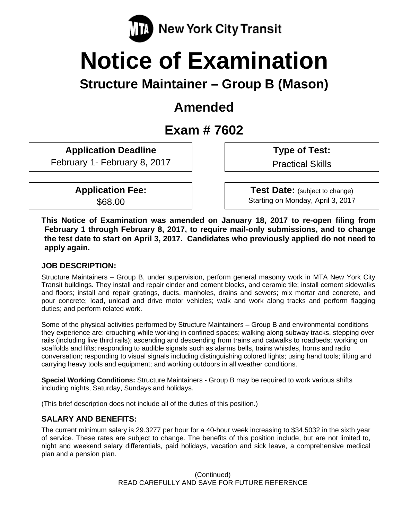

# **Notice of Examination**

# **Structure Maintainer – Group B (Mason)**

# **Amended**

# **Exam # 7602**

**Application Deadline** 

February 1- February 8, 2017

**Application Fee:**  \$68.00

 **Type of Test:** 

Practical Skills

 **Test Date:** (subject to change) Starting on Monday, April 3, 2017

**This Notice of Examination was amended on January 18, 2017 to re-open filing from February 1 through February 8, 2017, to require mail-only submissions, and to change the test date to start on April 3, 2017. Candidates who previously applied do not need to apply again.** 

# **JOB DESCRIPTION:**

Structure Maintainers – Group B, under supervision, perform general masonry work in MTA New York City Transit buildings. They install and repair cinder and cement blocks, and ceramic tile; install cement sidewalks and floors; install and repair gratings, ducts, manholes, drains and sewers; mix mortar and concrete, and pour concrete; load, unload and drive motor vehicles; walk and work along tracks and perform flagging duties; and perform related work.

Some of the physical activities performed by Structure Maintainers – Group B and environmental conditions they experience are: crouching while working in confined spaces; walking along subway tracks, stepping over rails (including live third rails); ascending and descending from trains and catwalks to roadbeds; working on scaffolds and lifts; responding to audible signals such as alarms bells, trains whistles, horns and radio conversation; responding to visual signals including distinguishing colored lights; using hand tools; lifting and carrying heavy tools and equipment; and working outdoors in all weather conditions.

**Special Working Conditions:** Structure Maintainers - Group B may be required to work various shifts including nights, Saturday, Sundays and holidays.

(This brief description does not include all of the duties of this position.)

# **SALARY AND BENEFITS:**

The current minimum salary is 29.3277 per hour for a 40-hour week increasing to \$34.5032 in the sixth year of service. These rates are subject to change. The benefits of this position include, but are not limited to, night and weekend salary differentials, paid holidays, vacation and sick leave, a comprehensive medical plan and a pension plan.

> (Continued) READ CAREFULLY AND SAVE FOR FUTURE REFERENCE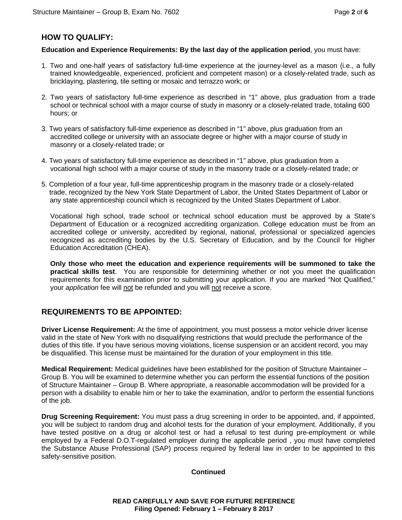# **HOW TO QUALIFY:**

#### **Education and Experience Requirements: By the last day of the application period**, you must have:

- 1. Two and one-half years of satisfactory full-time experience at the journey-level as a mason (i.e., a fully trained knowledgeable, experienced, proficient and competent mason) or a closely-related trade, such as bricklaying, plastering, tile setting or mosaic and terrazzo work; or
- 2. Two years of satisfactory full-time experience as described in "1" above, plus graduation from a trade school or technical school with a major course of study in masonry or a closely-related trade, totaling 600 hours; or
- 3. Two years of satisfactory full-time experience as described in "1" above, plus graduation from an accredited college or university with an associate degree or higher with a major course of study in masonry or a closely-related trade; or
- 4. Two years of satisfactory full-time experience as described in "1" above, plus graduation from a vocational high school with a major course of study in the masonry trade or a closely-related trade; or
- 5. Completion of a four year, full-time apprenticeship program in the masonry trade or a closely-related trade, recognized by the New York State Department of Labor, the United States Department of Labor or any state apprenticeship council which is recognized by the United States Department of Labor.

Vocational high school, trade school or technical school education must be approved by a State's Department of Education or a recognized accrediting organization. College education must be from an accredited college or university, accredited by regional, national, professional or specialized agencies recognized as accrediting bodies by the U.S. Secretary of Education, and by the Council for Higher Education Accreditation (CHEA).

**Only those who meet the education and experience requirements will be summoned to take the practical skills test**. You are responsible for determining whether or not you meet the qualification requirements for this examination prior to submitting your application. If you are marked "Not Qualified," your *application* fee will not be refunded and you will not receive a score.

# **REQUIREMENTS TO BE APPOINTED:**

**Driver License Requirement:** At the time of appointment, you must possess a motor vehicle driver license valid in the state of New York with no disqualifying restrictions that would preclude the performance of the duties of this title. If you have serious moving violations, license suspension or an accident record, you may be disqualified. This license must be maintained for the duration of your employment in this title.

**Medical Requirement:** Medical guidelines have been established for the position of Structure Maintainer – Group B. You will be examined to determine whether you can perform the essential functions of the position of Structure Maintainer – Group B. Where appropriate, a reasonable accommodation will be provided for a person with a disability to enable him or her to take the examination, and/or to perform the essential functions of the job.

**Drug Screening Requirement:** You must pass a drug screening in order to be appointed, and, if appointed, you will be subject to random drug and alcohol tests for the duration of your employment. Additionally, if you have tested positive on a drug or alcohol test or had a refusal to test during pre-employment or while employed by a Federal D.O.T-regulated employer during the applicable period , you must have completed the Substance Abuse Professional (SAP) process required by federal law in order to be appointed to this safety-sensitive position.

#### **Continued**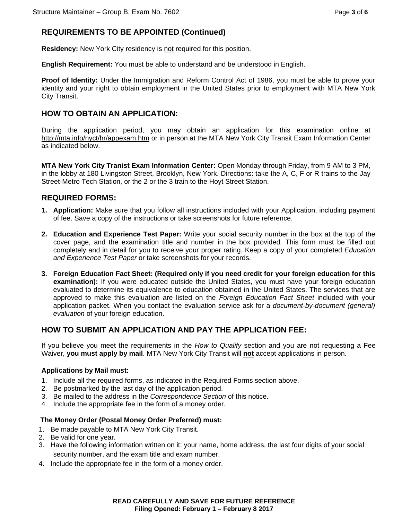# **REQUIREMENTS TO BE APPOINTED (Continued)**

**Residency:** New York City residency is not required for this position.

**English Requirement:** You must be able to understand and be understood in English.

**Proof of Identity:** Under the Immigration and Reform Control Act of 1986, you must be able to prove your identity and your right to obtain employment in the United States prior to employment with MTA New York City Transit.

### **HOW TO OBTAIN AN APPLICATION:**

During the application period, you may obtain an application for this examination online at http://mta.info/nyct/hr/appexam.htm or in person at the MTA New York City Transit Exam Information Center as indicated below.

**MTA New York City Tranist Exam Information Center:** Open Monday through Friday, from 9 AM to 3 PM, in the lobby at 180 Livingston Street, Brooklyn, New York. Directions: take the A, C, F or R trains to the Jay Street-Metro Tech Station, or the 2 or the 3 train to the Hoyt Street Station.

# **REQUIRED FORMS:**

- **1. Application:** Make sure that you follow all instructions included with your Application, including payment of fee. Save a copy of the instructions or take screenshots for future reference.
- **2. Education and Experience Test Paper:** Write your social security number in the box at the top of the cover page, and the examination title and number in the box provided. This form must be filled out completely and in detail for you to receive your proper rating. Keep a copy of your completed *Education and Experience Test Paper* or take screenshots for your records.
- **3. Foreign Education Fact Sheet: (Required only if you need credit for your foreign education for this examination):** If you were educated outside the United States, you must have your foreign education evaluated to determine its equivalence to education obtained in the United States. The services that are approved to make this evaluation are listed on the *Foreign Education Fact Sheet* included with your application packet. When you contact the evaluation service ask for a *document-by-document (general) evaluation* of your foreign education.

# **HOW TO SUBMIT AN APPLICATION AND PAY THE APPLICATION FEE:**

If you believe you meet the requirements in the *How to Qualify* section and you are not requesting a Fee Waiver, **you must apply by mail**. MTA New York City Transit will **not** accept applications in person.

#### **Applications by Mail must:**

- 1. Include all the required forms, as indicated in the Required Forms section above.
- 2. Be postmarked by the last day of the application period.
- 3. Be mailed to the address in the *Correspondence Section* of this notice.
- 4. Include the appropriate fee in the form of a money order.

#### **The Money Order (Postal Money Order Preferred) must:**

- 1. Be made payable to MTA New York City Transit.
- 2. Be valid for one year.
- 3. Have the following information written on it: your name, home address, the last four digits of your social security number, and the exam title and exam number.
- 4. Include the appropriate fee in the form of a money order.

#### **READ CAREFULLY AND SAVE FOR FUTURE REFERENCE Filing Opened: February 1 – February 8 2017**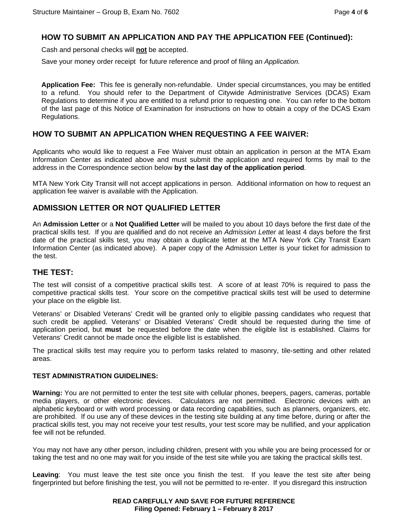## **HOW TO SUBMIT AN APPLICATION AND PAY THE APPLICATION FEE (Continued):**

Cash and personal checks will **not** be accepted.

Save your money order receipt for future reference and proof of filing an *Application.*

**Application Fee:** This fee is generally non-refundable. Under special circumstances, you may be entitled to a refund. You should refer to the Department of Citywide Administrative Services (DCAS) Exam Regulations to determine if you are entitled to a refund prior to requesting one. You can refer to the bottom of the last page of this Notice of Examination for instructions on how to obtain a copy of the DCAS Exam Regulations.

### **HOW TO SUBMIT AN APPLICATION WHEN REQUESTING A FEE WAIVER:**

Applicants who would like to request a Fee Waiver must obtain an application in person at the MTA Exam Information Center as indicated above and must submit the application and required forms by mail to the address in the Correspondence section below **by the last day of the application period**.

MTA New York City Transit will not accept applications in person. Additional information on how to request an application fee waiver is available with the Application.

### **ADMISSION LETTER OR NOT QUALIFIED LETTER**

An **Admission Letter** or a **Not Qualified Letter** will be mailed to you about 10 days before the first date of the practical skills test. If you are qualified and do not receive an *Admission Letter* at least 4 days before the first date of the practical skills test, you may obtain a duplicate letter at the MTA New York City Transit Exam Information Center (as indicated above). A paper copy of the Admission Letter is your ticket for admission to the test.

# **THE TEST:**

The test will consist of a competitive practical skills test. A score of at least 70% is required to pass the competitive practical skills test. Your score on the competitive practical skills test will be used to determine your place on the eligible list.

Veterans' or Disabled Veterans' Credit will be granted only to eligible passing candidates who request that such credit be applied. Veterans' or Disabled Veterans' Credit should be requested during the time of application period, but **must** be requested before the date when the eligible list is established. Claims for Veterans' Credit cannot be made once the eligible list is established.

The practical skills test may require you to perform tasks related to masonry, tile-setting and other related areas.

#### **TEST ADMINISTRATION GUIDELINES:**

**Warning:** You are not permitted to enter the test site with cellular phones, beepers, pagers, cameras, portable media players, or other electronic devices. Calculators are not permitted. Electronic devices with an alphabetic keyboard or with word processing or data recording capabilities, such as planners, organizers, etc. are prohibited. If ou use any of these devices in the testing site building at any time before, during or after the practical skills test, you may not receive your test results, your test score may be nullified, and your application fee will not be refunded.

You may not have any other person, including children, present with you while you are being processed for or taking the test and no one may wait for you inside of the test site while you are taking the practical skills test.

**Leaving**: You must leave the test site once you finish the test. If you leave the test site after being fingerprinted but before finishing the test, you will not be permitted to re-enter. If you disregard this instruction

#### **READ CAREFULLY AND SAVE FOR FUTURE REFERENCE Filing Opened: February 1 – February 8 2017**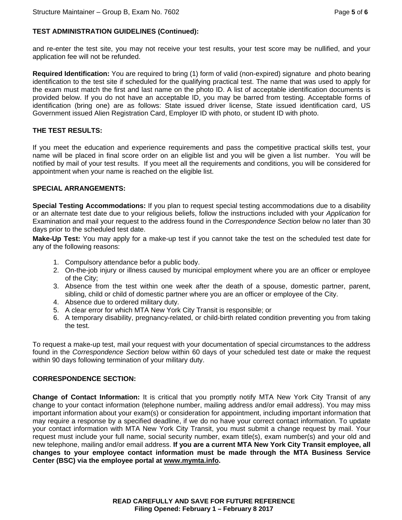#### **TEST ADMINISTRATION GUIDELINES (Continued):**

and re-enter the test site, you may not receive your test results, your test score may be nullified, and your application fee will not be refunded.

**Required Identification:** You are required to bring (1) form of valid (non-expired) signature and photo bearing identification to the test site if scheduled for the qualifying practical test. The name that was used to apply for the exam must match the first and last name on the photo ID. A list of acceptable identification documents is provided below. If you do not have an acceptable ID, you may be barred from testing. Acceptable forms of identification (bring one) are as follows: State issued driver license, State issued identification card, US Government issued Alien Registration Card, Employer ID with photo, or student ID with photo.

#### **THE TEST RESULTS:**

If you meet the education and experience requirements and pass the competitive practical skills test, your name will be placed in final score order on an eligible list and you will be given a list number. You will be notified by mail of your test results. If you meet all the requirements and conditions, you will be considered for appointment when your name is reached on the eligible list.

#### **SPECIAL ARRANGEMENTS:**

**Special Testing Accommodations:** If you plan to request special testing accommodations due to a disability or an alternate test date due to your religious beliefs, follow the instructions included with your *Application* for Examination and mail your request to the address found in the *Correspondence Section* below no later than 30 days prior to the scheduled test date.

**Make-Up Test:** You may apply for a make-up test if you cannot take the test on the scheduled test date for any of the following reasons:

- 1. Compulsory attendance befor a public body.
- 2. On-the-job injury or illness caused by municipal employment where you are an officer or employee of the City;
- 3. Absence from the test within one week after the death of a spouse, domestic partner, parent, sibling, child or child of domestic partner where you are an officer or employee of the City.
- 4. Absence due to ordered military duty.
- 5. A clear error for which MTA New York City Transit is responsible; or
- 6. A temporary disability, pregnancy-related, or child-birth related condition preventing you from taking the test.

To request a make-up test, mail your request with your documentation of special circumstances to the address found in the *Correspondence Section* below within 60 days of your scheduled test date or make the request within 90 days following termination of your military duty.

#### **CORRESPONDENCE SECTION:**

**Change of Contact Information:** It is critical that you promptly notify MTA New York City Transit of any change to your contact information (telephone number, mailing address and/or email address). You may miss important information about your exam(s) or consideration for appointment, including important information that may require a response by a specified deadline, if we do no have your correct contact information. To update your contact information with MTA New York City Transit, you must submit a change request by mail. Your request must include your full name, social security number, exam title(s), exam number(s) and your old and new telephone, mailing and/or email address. **If you are a current MTA New York City Transit employee, all changes to your employee contact information must be made through the MTA Business Service Center (BSC) via the employee portal at www.mymta.info.**